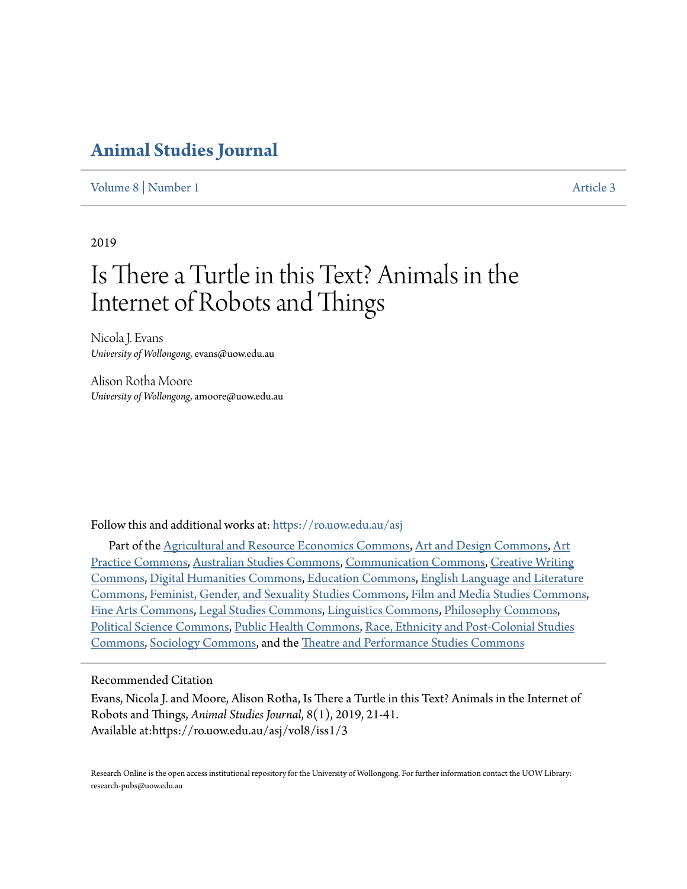### **[Animal Studies Journal](https://ro.uow.edu.au/asj?utm_source=ro.uow.edu.au%2Fasj%2Fvol8%2Fiss1%2F3&utm_medium=PDF&utm_campaign=PDFCoverPages)**

[Volume 8](https://ro.uow.edu.au/asj/vol8?utm_source=ro.uow.edu.au%2Fasj%2Fvol8%2Fiss1%2F3&utm_medium=PDF&utm_campaign=PDFCoverPages) | [Number 1](https://ro.uow.edu.au/asj/vol8/iss1?utm_source=ro.uow.edu.au%2Fasj%2Fvol8%2Fiss1%2F3&utm_medium=PDF&utm_campaign=PDFCoverPages) [Article 3](https://ro.uow.edu.au/asj/vol8/iss1/3?utm_source=ro.uow.edu.au%2Fasj%2Fvol8%2Fiss1%2F3&utm_medium=PDF&utm_campaign=PDFCoverPages) | Article 3 | Article 3 | Article 3 | Article 3 | Article 3 | Article 3 | Article 3 | Article 3 | Article 3 | Article 3 | Article 3 | Article 3 | Article 3 | Article 3 | Article 3 | Article 3

2019

# Is There a Turtle in this Text? Animals in the Internet of Robots and Things

Nicola J. Evans *University of Wollongong*, evans@uow.edu.au

Alison Rotha Moore *University of Wollongong*, amoore@uow.edu.au

Follow this and additional works at: [https://ro.uow.edu.au/asj](https://ro.uow.edu.au/asj?utm_source=ro.uow.edu.au%2Fasj%2Fvol8%2Fiss1%2F3&utm_medium=PDF&utm_campaign=PDFCoverPages)

Part of the [Agricultural and Resource Economics Commons](http://network.bepress.com/hgg/discipline/317?utm_source=ro.uow.edu.au%2Fasj%2Fvol8%2Fiss1%2F3&utm_medium=PDF&utm_campaign=PDFCoverPages), [Art and Design Commons](http://network.bepress.com/hgg/discipline/1049?utm_source=ro.uow.edu.au%2Fasj%2Fvol8%2Fiss1%2F3&utm_medium=PDF&utm_campaign=PDFCoverPages), [Art](http://network.bepress.com/hgg/discipline/509?utm_source=ro.uow.edu.au%2Fasj%2Fvol8%2Fiss1%2F3&utm_medium=PDF&utm_campaign=PDFCoverPages) [Practice Commons](http://network.bepress.com/hgg/discipline/509?utm_source=ro.uow.edu.au%2Fasj%2Fvol8%2Fiss1%2F3&utm_medium=PDF&utm_campaign=PDFCoverPages), [Australian Studies Commons](http://network.bepress.com/hgg/discipline/1020?utm_source=ro.uow.edu.au%2Fasj%2Fvol8%2Fiss1%2F3&utm_medium=PDF&utm_campaign=PDFCoverPages), [Communication Commons](http://network.bepress.com/hgg/discipline/325?utm_source=ro.uow.edu.au%2Fasj%2Fvol8%2Fiss1%2F3&utm_medium=PDF&utm_campaign=PDFCoverPages), [Creative Writing](http://network.bepress.com/hgg/discipline/574?utm_source=ro.uow.edu.au%2Fasj%2Fvol8%2Fiss1%2F3&utm_medium=PDF&utm_campaign=PDFCoverPages) [Commons,](http://network.bepress.com/hgg/discipline/574?utm_source=ro.uow.edu.au%2Fasj%2Fvol8%2Fiss1%2F3&utm_medium=PDF&utm_campaign=PDFCoverPages) [Digital Humanities Commons](http://network.bepress.com/hgg/discipline/1286?utm_source=ro.uow.edu.au%2Fasj%2Fvol8%2Fiss1%2F3&utm_medium=PDF&utm_campaign=PDFCoverPages), [Education Commons](http://network.bepress.com/hgg/discipline/784?utm_source=ro.uow.edu.au%2Fasj%2Fvol8%2Fiss1%2F3&utm_medium=PDF&utm_campaign=PDFCoverPages), [English Language and Literature](http://network.bepress.com/hgg/discipline/455?utm_source=ro.uow.edu.au%2Fasj%2Fvol8%2Fiss1%2F3&utm_medium=PDF&utm_campaign=PDFCoverPages) [Commons,](http://network.bepress.com/hgg/discipline/455?utm_source=ro.uow.edu.au%2Fasj%2Fvol8%2Fiss1%2F3&utm_medium=PDF&utm_campaign=PDFCoverPages) [Feminist, Gender, and Sexuality Studies Commons,](http://network.bepress.com/hgg/discipline/559?utm_source=ro.uow.edu.au%2Fasj%2Fvol8%2Fiss1%2F3&utm_medium=PDF&utm_campaign=PDFCoverPages) [Film and Media Studies Commons,](http://network.bepress.com/hgg/discipline/563?utm_source=ro.uow.edu.au%2Fasj%2Fvol8%2Fiss1%2F3&utm_medium=PDF&utm_campaign=PDFCoverPages) [Fine Arts Commons,](http://network.bepress.com/hgg/discipline/1141?utm_source=ro.uow.edu.au%2Fasj%2Fvol8%2Fiss1%2F3&utm_medium=PDF&utm_campaign=PDFCoverPages) [Legal Studies Commons](http://network.bepress.com/hgg/discipline/366?utm_source=ro.uow.edu.au%2Fasj%2Fvol8%2Fiss1%2F3&utm_medium=PDF&utm_campaign=PDFCoverPages), [Linguistics Commons](http://network.bepress.com/hgg/discipline/371?utm_source=ro.uow.edu.au%2Fasj%2Fvol8%2Fiss1%2F3&utm_medium=PDF&utm_campaign=PDFCoverPages), [Philosophy Commons,](http://network.bepress.com/hgg/discipline/525?utm_source=ro.uow.edu.au%2Fasj%2Fvol8%2Fiss1%2F3&utm_medium=PDF&utm_campaign=PDFCoverPages) [Political Science Commons](http://network.bepress.com/hgg/discipline/386?utm_source=ro.uow.edu.au%2Fasj%2Fvol8%2Fiss1%2F3&utm_medium=PDF&utm_campaign=PDFCoverPages), [Public Health Commons,](http://network.bepress.com/hgg/discipline/738?utm_source=ro.uow.edu.au%2Fasj%2Fvol8%2Fiss1%2F3&utm_medium=PDF&utm_campaign=PDFCoverPages) [Race, Ethnicity and Post-Colonial Studies](http://network.bepress.com/hgg/discipline/566?utm_source=ro.uow.edu.au%2Fasj%2Fvol8%2Fiss1%2F3&utm_medium=PDF&utm_campaign=PDFCoverPages) [Commons,](http://network.bepress.com/hgg/discipline/566?utm_source=ro.uow.edu.au%2Fasj%2Fvol8%2Fiss1%2F3&utm_medium=PDF&utm_campaign=PDFCoverPages) [Sociology Commons](http://network.bepress.com/hgg/discipline/416?utm_source=ro.uow.edu.au%2Fasj%2Fvol8%2Fiss1%2F3&utm_medium=PDF&utm_campaign=PDFCoverPages), and the [Theatre and Performance Studies Commons](http://network.bepress.com/hgg/discipline/552?utm_source=ro.uow.edu.au%2Fasj%2Fvol8%2Fiss1%2F3&utm_medium=PDF&utm_campaign=PDFCoverPages)

Recommended Citation

Evans, Nicola J. and Moore, Alison Rotha, Is There a Turtle in this Text? Animals in the Internet of Robots and Things, *Animal Studies Journal*, 8(1), 2019, 21-41. Available at:https://ro.uow.edu.au/asj/vol8/iss1/3

Research Online is the open access institutional repository for the University of Wollongong. For further information contact the UOW Library: research-pubs@uow.edu.au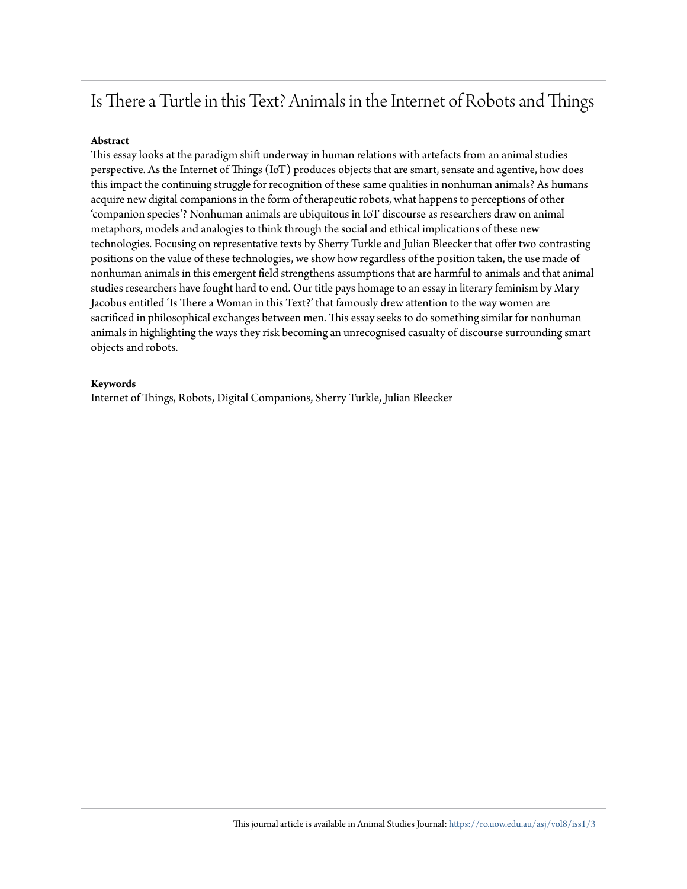## Is There a Turtle in this Text? Animals in the Internet of Robots and Things

#### **Abstract**

This essay looks at the paradigm shift underway in human relations with artefacts from an animal studies perspective. As the Internet of Things (IoT) produces objects that are smart, sensate and agentive, how does this impact the continuing struggle for recognition of these same qualities in nonhuman animals? As humans acquire new digital companions in the form of therapeutic robots, what happens to perceptions of other 'companion species'? Nonhuman animals are ubiquitous in IoT discourse as researchers draw on animal metaphors, models and analogies to think through the social and ethical implications of these new technologies. Focusing on representative texts by Sherry Turkle and Julian Bleecker that offer two contrasting positions on the value of these technologies, we show how regardless of the position taken, the use made of nonhuman animals in this emergent field strengthens assumptions that are harmful to animals and that animal studies researchers have fought hard to end. Our title pays homage to an essay in literary feminism by Mary Jacobus entitled 'Is There a Woman in this Text?' that famously drew attention to the way women are sacrificed in philosophical exchanges between men. This essay seeks to do something similar for nonhuman animals in highlighting the ways they risk becoming an unrecognised casualty of discourse surrounding smart objects and robots.

#### **Keywords**

Internet of Things, Robots, Digital Companions, Sherry Turkle, Julian Bleecker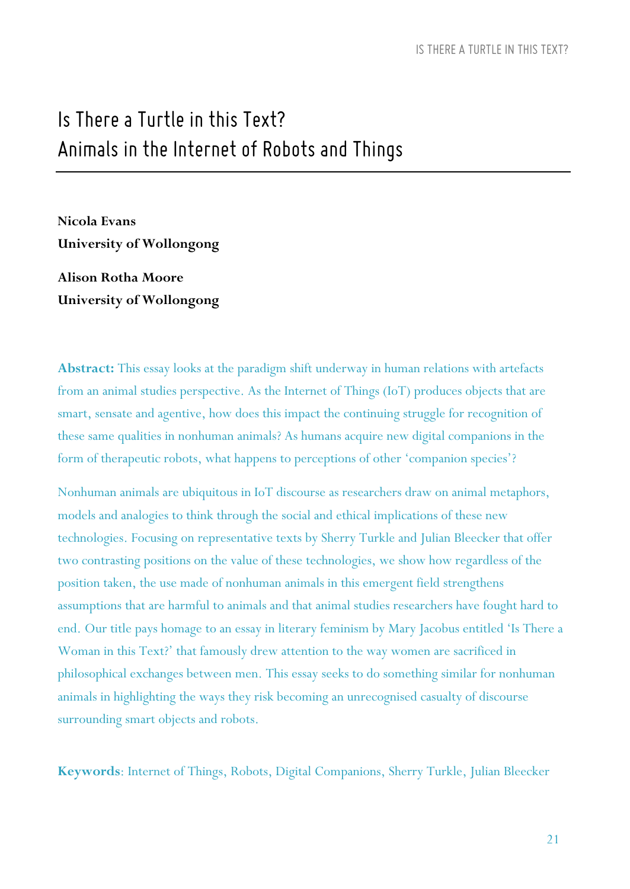# *Is There a Turtle inthis Text? Animals inthe Internet of Robots and Things*

**Nicola Evans University of Wollongong Alison Rotha Moore**

**University of Wollongong**

**Abstract:** This essay looks at the paradigm shift underway in human relations with artefacts from an animal studies perspective. As the Internet of Things (IoT) produces objects that are smart, sensate and agentive, how does this impact the continuing struggle for recognition of these same qualities in nonhuman animals? As humans acquire new digital companions in the form of therapeutic robots, what happens to perceptions of other 'companion species'?

Nonhuman animals are ubiquitous in IoT discourse as researchers draw on animal metaphors, models and analogies to think through the social and ethical implications of these new technologies. Focusing on representative texts by Sherry Turkle and Julian Bleecker that offer two contrasting positions on the value of these technologies, we show how regardless of the position taken, the use made of nonhuman animals in this emergent field strengthens assumptions that are harmful to animals and that animal studies researchers have fought hard to end. Our title pays homage to an essay in literary feminism by Mary Jacobus entitled 'Is There a Woman in this Text?' that famously drew attention to the way women are sacrificed in philosophical exchanges between men. This essay seeks to do something similar for nonhuman animals in highlighting the ways they risk becoming an unrecognised casualty of discourse surrounding smart objects and robots.

**Keywords**: Internet of Things, Robots, Digital Companions, Sherry Turkle, Julian Bleecker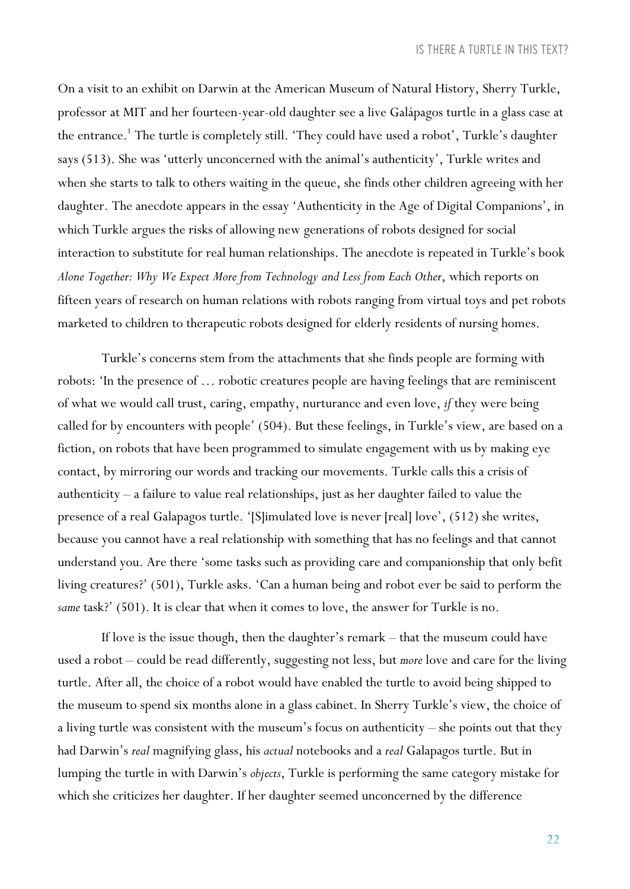On a visit to an exhibit on Darwin at the American Museum of Natural History, Sherry Turkle, professor at MIT and her fourteen-year-old daughter see a live Galápagos turtle in a glass case at the entrance.<sup>1</sup> The turtle is completely still. 'They could have used a robot', Turkle's daughter says (513). She was 'utterly unconcerned with the animal's authenticity', Turkle writes and when she starts to talk to others waiting in the queue, she finds other children agreeing with her daughter. The anecdote appears in the essay 'Authenticity in the Age of Digital Companions', in which Turkle argues the risks of allowing new generations of robots designed for social interaction to substitute for real human relationships. The anecdote is repeated in Turkle's book *Alone Together: Why We Expect More from Technology and Less from Each Other*, which reports on fifteen years of research on human relations with robots ranging from virtual toys and pet robots marketed to children to therapeutic robots designed for elderly residents of nursing homes.

Turkle's concerns stem from the attachments that she finds people are forming with robots: 'In the presence of … robotic creatures people are having feelings that are reminiscent of what we would call trust, caring, empathy, nurturance and even love, *if* they were being called for by encounters with people' (504). But these feelings, in Turkle's view, are based on a fiction, on robots that have been programmed to simulate engagement with us by making eye contact, by mirroring our words and tracking our movements. Turkle calls this a crisis of authenticity – a failure to value real relationships, just as her daughter failed to value the presence of a real Galapagos turtle. '[S]imulated love is never [real] love', (512) she writes, because you cannot have a real relationship with something that has no feelings and that cannot understand you. Are there 'some tasks such as providing care and companionship that only befit living creatures?' (501), Turkle asks. 'Can a human being and robot ever be said to perform the *same* task?' (501). It is clear that when it comes to love, the answer for Turkle is no.

If love is the issue though, then the daughter's remark – that the museum could have used a robot – could be read differently, suggesting not less, but *more* love and care for the living turtle. After all, the choice of a robot would have enabled the turtle to avoid being shipped to the museum to spend six months alone in a glass cabinet. In Sherry Turkle's view, the choice of a living turtle was consistent with the museum's focus on authenticity – she points out that they had Darwin's *real* magnifying glass, his *actual* notebooks and a *real* Galapagos turtle. But in lumping the turtle in with Darwin's *objects*, Turkle is performing the same category mistake for which she criticizes her daughter. If her daughter seemed unconcerned by the difference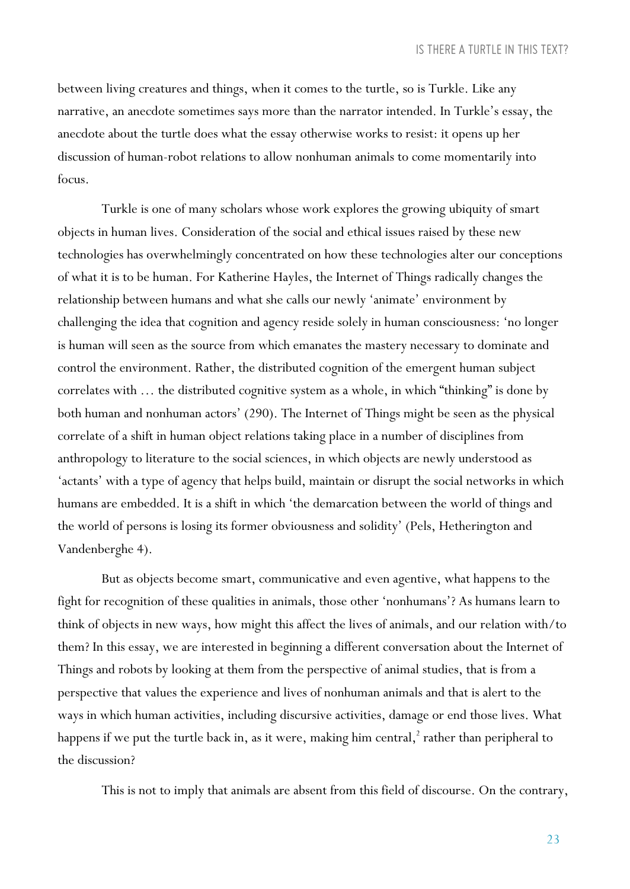between living creatures and things, when it comes to the turtle, so is Turkle. Like any narrative, an anecdote sometimes says more than the narrator intended. In Turkle's essay, the anecdote about the turtle does what the essay otherwise works to resist: it opens up her discussion of human-robot relations to allow nonhuman animals to come momentarily into focus.

Turkle is one of many scholars whose work explores the growing ubiquity of smart objects in human lives. Consideration of the social and ethical issues raised by these new technologies has overwhelmingly concentrated on how these technologies alter our conceptions of what it is to be human. For Katherine Hayles, the Internet of Things radically changes the relationship between humans and what she calls our newly 'animate' environment by challenging the idea that cognition and agency reside solely in human consciousness: 'no longer is human will seen as the source from which emanates the mastery necessary to dominate and control the environment. Rather, the distributed cognition of the emergent human subject correlates with … the distributed cognitive system as a whole, in which "thinking" is done by both human and nonhuman actors' (290). The Internet of Things might be seen as the physical correlate of a shift in human object relations taking place in a number of disciplines from anthropology to literature to the social sciences, in which objects are newly understood as 'actants' with a type of agency that helps build, maintain or disrupt the social networks in which humans are embedded. It is a shift in which 'the demarcation between the world of things and the world of persons is losing its former obviousness and solidity' (Pels, Hetherington and Vandenberghe 4).

But as objects become smart, communicative and even agentive, what happens to the fight for recognition of these qualities in animals, those other 'nonhumans'? As humans learn to think of objects in new ways, how might this affect the lives of animals, and our relation with/to them? In this essay, we are interested in beginning a different conversation about the Internet of Things and robots by looking at them from the perspective of animal studies, that is from a perspective that values the experience and lives of nonhuman animals and that is alert to the ways in which human activities, including discursive activities, damage or end those lives. What happens if we put the turtle back in, as it were, making him central, $2$  rather than peripheral to the discussion?

This is not to imply that animals are absent from this field of discourse. On the contrary,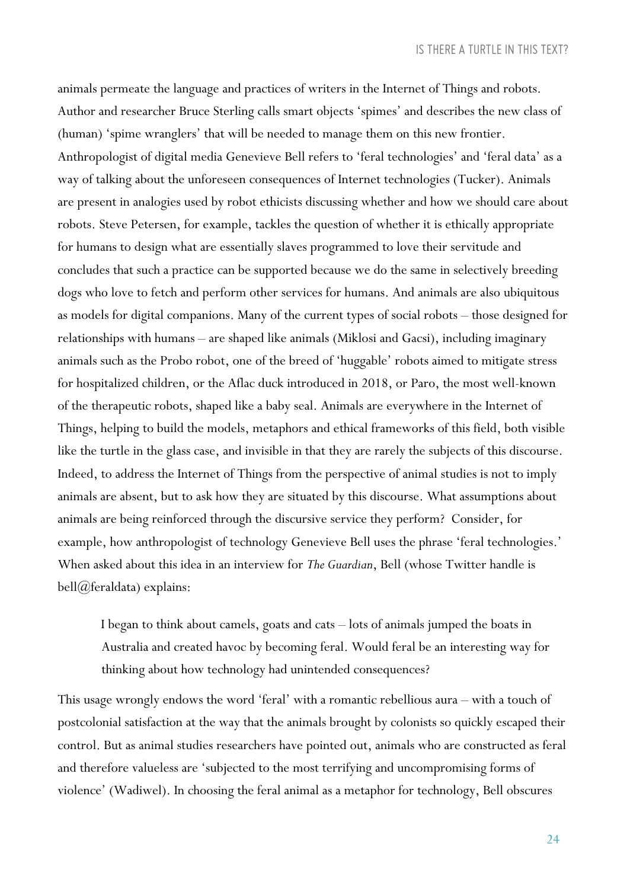animals permeate the language and practices of writers in the Internet of Things and robots. Author and researcher Bruce Sterling calls smart objects 'spimes' and describes the new class of (human) 'spime wranglers' that will be needed to manage them on this new frontier. Anthropologist of digital media Genevieve Bell refers to 'feral technologies' and 'feral data' as a way of talking about the unforeseen consequences of Internet technologies (Tucker). Animals are present in analogies used by robot ethicists discussing whether and how we should care about robots. Steve Petersen, for example, tackles the question of whether it is ethically appropriate for humans to design what are essentially slaves programmed to love their servitude and concludes that such a practice can be supported because we do the same in selectively breeding dogs who love to fetch and perform other services for humans. And animals are also ubiquitous as models for digital companions. Many of the current types of social robots – those designed for relationships with humans – are shaped like animals (Miklosi and Gacsi), including imaginary animals such as the Probo robot, one of the breed of 'huggable' robots aimed to mitigate stress for hospitalized children, or the Aflac duck introduced in 2018, or Paro, the most well-known of the therapeutic robots, shaped like a baby seal. Animals are everywhere in the Internet of Things, helping to build the models, metaphors and ethical frameworks of this field, both visible like the turtle in the glass case, and invisible in that they are rarely the subjects of this discourse. Indeed, to address the Internet of Things from the perspective of animal studies is not to imply animals are absent, but to ask how they are situated by this discourse. What assumptions about animals are being reinforced through the discursive service they perform? Consider, for example, how anthropologist of technology Genevieve Bell uses the phrase 'feral technologies.' When asked about this idea in an interview for *The Guardian*, Bell (whose Twitter handle is bell@feraldata) explains:

I began to think about camels, goats and cats – lots of animals jumped the boats in Australia and created havoc by becoming feral. Would feral be an interesting way for thinking about how technology had unintended consequences?

This usage wrongly endows the word 'feral' with a romantic rebellious aura – with a touch of postcolonial satisfaction at the way that the animals brought by colonists so quickly escaped their control. But as animal studies researchers have pointed out, animals who are constructed as feral and therefore valueless are 'subjected to the most terrifying and uncompromising forms of violence' (Wadiwel). In choosing the feral animal as a metaphor for technology, Bell obscures

24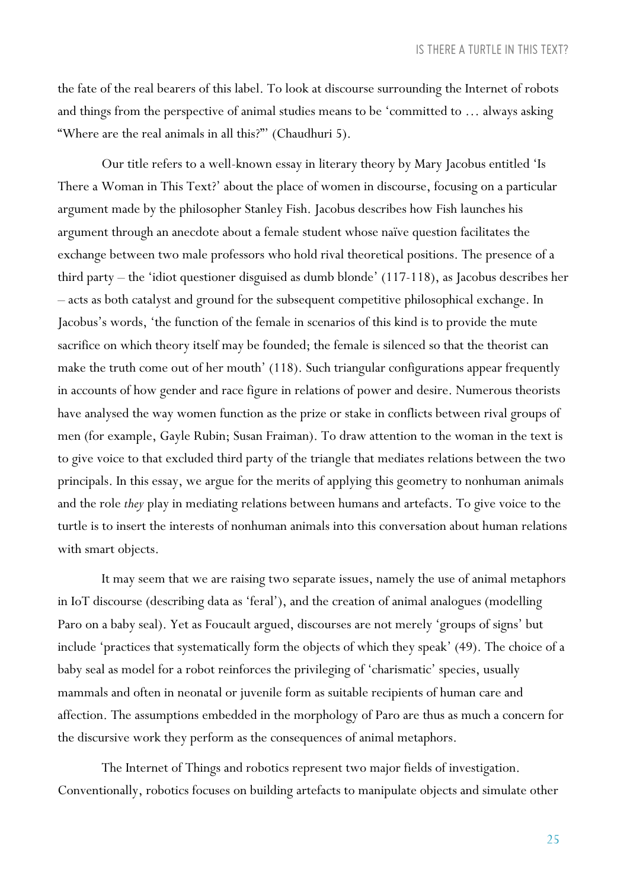the fate of the real bearers of this label. To look at discourse surrounding the Internet of robots and things from the perspective of animal studies means to be 'committed to … always asking "Where are the real animals in all this?"' (Chaudhuri 5).

Our title refers to a well-known essay in literary theory by Mary Jacobus entitled 'Is There a Woman in This Text?' about the place of women in discourse, focusing on a particular argument made by the philosopher Stanley Fish. Jacobus describes how Fish launches his argument through an anecdote about a female student whose naïve question facilitates the exchange between two male professors who hold rival theoretical positions. The presence of a third party – the 'idiot questioner disguised as dumb blonde' (117-118), as Jacobus describes her – acts as both catalyst and ground for the subsequent competitive philosophical exchange. In Jacobus's words, 'the function of the female in scenarios of this kind is to provide the mute sacrifice on which theory itself may be founded; the female is silenced so that the theorist can make the truth come out of her mouth' (118). Such triangular configurations appear frequently in accounts of how gender and race figure in relations of power and desire. Numerous theorists have analysed the way women function as the prize or stake in conflicts between rival groups of men (for example, Gayle Rubin; Susan Fraiman). To draw attention to the woman in the text is to give voice to that excluded third party of the triangle that mediates relations between the two principals. In this essay, we argue for the merits of applying this geometry to nonhuman animals and the role *they* play in mediating relations between humans and artefacts. To give voice to the turtle is to insert the interests of nonhuman animals into this conversation about human relations with smart objects.

It may seem that we are raising two separate issues, namely the use of animal metaphors in IoT discourse (describing data as 'feral'), and the creation of animal analogues (modelling Paro on a baby seal). Yet as Foucault argued, discourses are not merely 'groups of signs' but include 'practices that systematically form the objects of which they speak' (49). The choice of a baby seal as model for a robot reinforces the privileging of 'charismatic' species, usually mammals and often in neonatal or juvenile form as suitable recipients of human care and affection. The assumptions embedded in the morphology of Paro are thus as much a concern for the discursive work they perform as the consequences of animal metaphors.

The Internet of Things and robotics represent two major fields of investigation. Conventionally, robotics focuses on building artefacts to manipulate objects and simulate other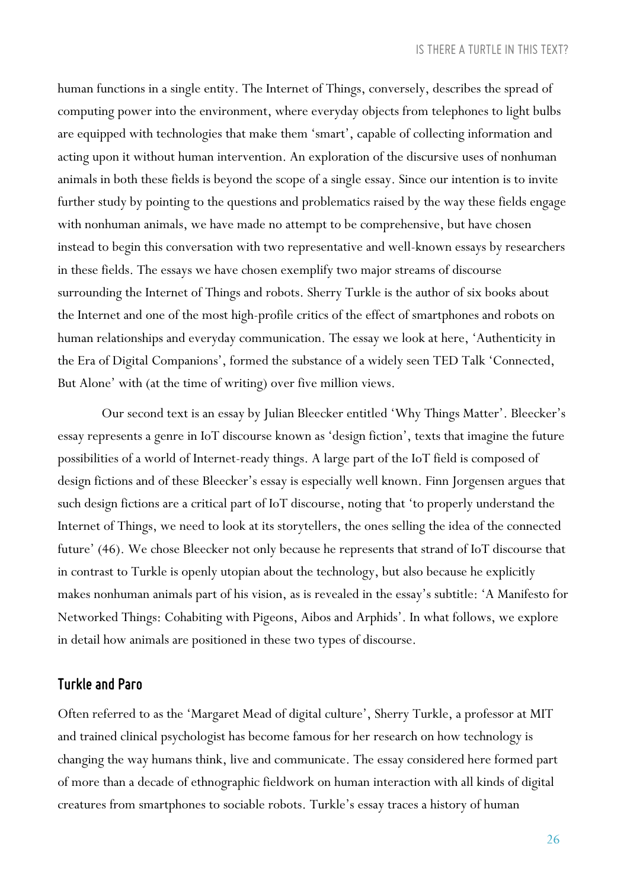human functions in a single entity. The Internet of Things, conversely, describes the spread of computing power into the environment, where everyday objects from telephones to light bulbs are equipped with technologies that make them 'smart', capable of collecting information and acting upon it without human intervention. An exploration of the discursive uses of nonhuman animals in both these fields is beyond the scope of a single essay. Since our intention is to invite further study by pointing to the questions and problematics raised by the way these fields engage with nonhuman animals, we have made no attempt to be comprehensive, but have chosen instead to begin this conversation with two representative and well-known essays by researchers in these fields. The essays we have chosen exemplify two major streams of discourse surrounding the Internet of Things and robots. Sherry Turkle is the author of six books about the Internet and one of the most high-profile critics of the effect of smartphones and robots on human relationships and everyday communication. The essay we look at here, 'Authenticity in the Era of Digital Companions', formed the substance of a widely seen TED Talk 'Connected, But Alone' with (at the time of writing) over five million views.

Our second text is an essay by Julian Bleecker entitled 'Why Things Matter'. Bleecker's essay represents a genre in IoT discourse known as 'design fiction', texts that imagine the future possibilities of a world of Internet-ready things. A large part of the IoT field is composed of design fictions and of these Bleecker's essay is especially well known. Finn Jorgensen argues that such design fictions are a critical part of IoT discourse, noting that 'to properly understand the Internet of Things, we need to look at its storytellers, the ones selling the idea of the connected future' (46). We chose Bleecker not only because he represents that strand of IoT discourse that in contrast to Turkle is openly utopian about the technology, but also because he explicitly makes nonhuman animals part of his vision, as is revealed in the essay's subtitle: 'A Manifesto for Networked Things: Cohabiting with Pigeons, Aibos and Arphids'. In what follows, we explore in detail how animals are positioned in these two types of discourse.

### *Turkle and Paro*

Often referred to as the 'Margaret Mead of digital culture', Sherry Turkle, a professor at MIT and trained clinical psychologist has become famous for her research on how technology is changing the way humans think, live and communicate. The essay considered here formed part of more than a decade of ethnographic fieldwork on human interaction with all kinds of digital creatures from smartphones to sociable robots. Turkle's essay traces a history of human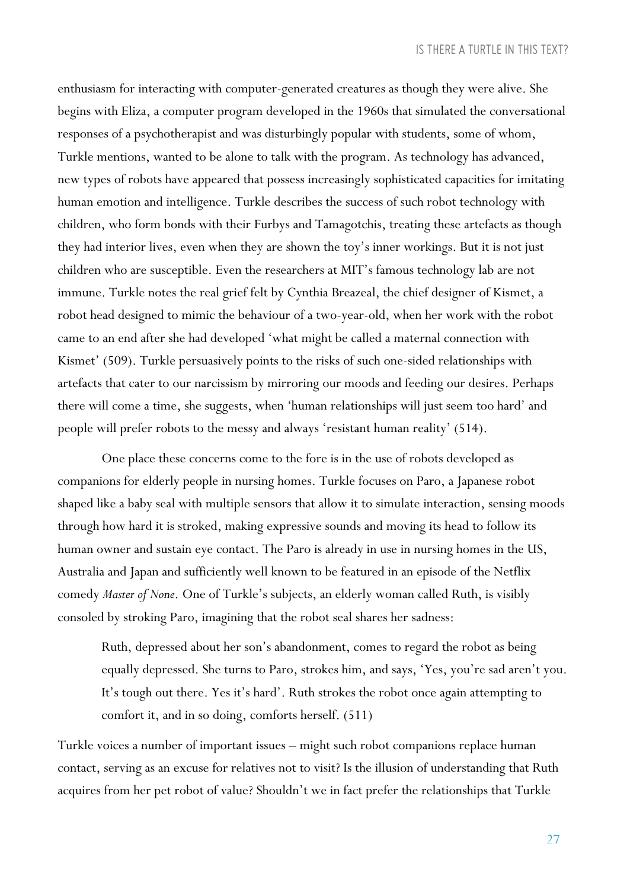enthusiasm for interacting with computer-generated creatures as though they were alive. She begins with Eliza, a computer program developed in the 1960s that simulated the conversational responses of a psychotherapist and was disturbingly popular with students, some of whom, Turkle mentions, wanted to be alone to talk with the program. As technology has advanced, new types of robots have appeared that possess increasingly sophisticated capacities for imitating human emotion and intelligence. Turkle describes the success of such robot technology with children, who form bonds with their Furbys and Tamagotchis, treating these artefacts as though they had interior lives, even when they are shown the toy's inner workings. But it is not just children who are susceptible. Even the researchers at MIT's famous technology lab are not immune. Turkle notes the real grief felt by Cynthia Breazeal, the chief designer of Kismet, a robot head designed to mimic the behaviour of a two-year-old, when her work with the robot came to an end after she had developed 'what might be called a maternal connection with Kismet' (509). Turkle persuasively points to the risks of such one-sided relationships with artefacts that cater to our narcissism by mirroring our moods and feeding our desires. Perhaps there will come a time, she suggests, when 'human relationships will just seem too hard' and people will prefer robots to the messy and always 'resistant human reality' (514).

One place these concerns come to the fore is in the use of robots developed as companions for elderly people in nursing homes. Turkle focuses on Paro, a Japanese robot shaped like a baby seal with multiple sensors that allow it to simulate interaction, sensing moods through how hard it is stroked, making expressive sounds and moving its head to follow its human owner and sustain eye contact. The Paro is already in use in nursing homes in the US, Australia and Japan and sufficiently well known to be featured in an episode of the Netflix comedy *Master of None*. One of Turkle's subjects, an elderly woman called Ruth, is visibly consoled by stroking Paro, imagining that the robot seal shares her sadness:

Ruth, depressed about her son's abandonment, comes to regard the robot as being equally depressed. She turns to Paro, strokes him, and says, 'Yes, you're sad aren't you. It's tough out there. Yes it's hard'. Ruth strokes the robot once again attempting to comfort it, and in so doing, comforts herself. (511)

Turkle voices a number of important issues – might such robot companions replace human contact, serving as an excuse for relatives not to visit? Is the illusion of understanding that Ruth acquires from her pet robot of value? Shouldn't we in fact prefer the relationships that Turkle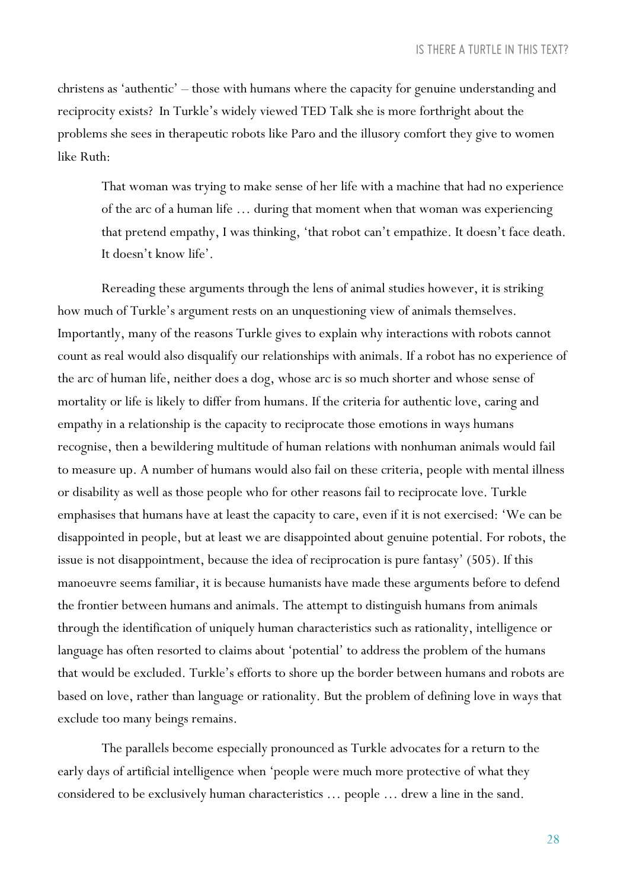christens as 'authentic' – those with humans where the capacity for genuine understanding and reciprocity exists? In Turkle's widely viewed TED Talk she is more forthright about the problems she sees in therapeutic robots like Paro and the illusory comfort they give to women like Ruth:

That woman was trying to make sense of her life with a machine that had no experience of the arc of a human life … during that moment when that woman was experiencing that pretend empathy, I was thinking, 'that robot can't empathize. It doesn't face death. It doesn't know life'.

Rereading these arguments through the lens of animal studies however, it is striking how much of Turkle's argument rests on an unquestioning view of animals themselves. Importantly, many of the reasons Turkle gives to explain why interactions with robots cannot count as real would also disqualify our relationships with animals. If a robot has no experience of the arc of human life, neither does a dog, whose arc is so much shorter and whose sense of mortality or life is likely to differ from humans. If the criteria for authentic love, caring and empathy in a relationship is the capacity to reciprocate those emotions in ways humans recognise, then a bewildering multitude of human relations with nonhuman animals would fail to measure up. A number of humans would also fail on these criteria, people with mental illness or disability as well as those people who for other reasons fail to reciprocate love. Turkle emphasises that humans have at least the capacity to care, even if it is not exercised: 'We can be disappointed in people, but at least we are disappointed about genuine potential. For robots, the issue is not disappointment, because the idea of reciprocation is pure fantasy' (505). If this manoeuvre seems familiar, it is because humanists have made these arguments before to defend the frontier between humans and animals. The attempt to distinguish humans from animals through the identification of uniquely human characteristics such as rationality, intelligence or language has often resorted to claims about 'potential' to address the problem of the humans that would be excluded. Turkle's efforts to shore up the border between humans and robots are based on love, rather than language or rationality. But the problem of defining love in ways that exclude too many beings remains.

The parallels become especially pronounced as Turkle advocates for a return to the early days of artificial intelligence when 'people were much more protective of what they considered to be exclusively human characteristics … people … drew a line in the sand.

28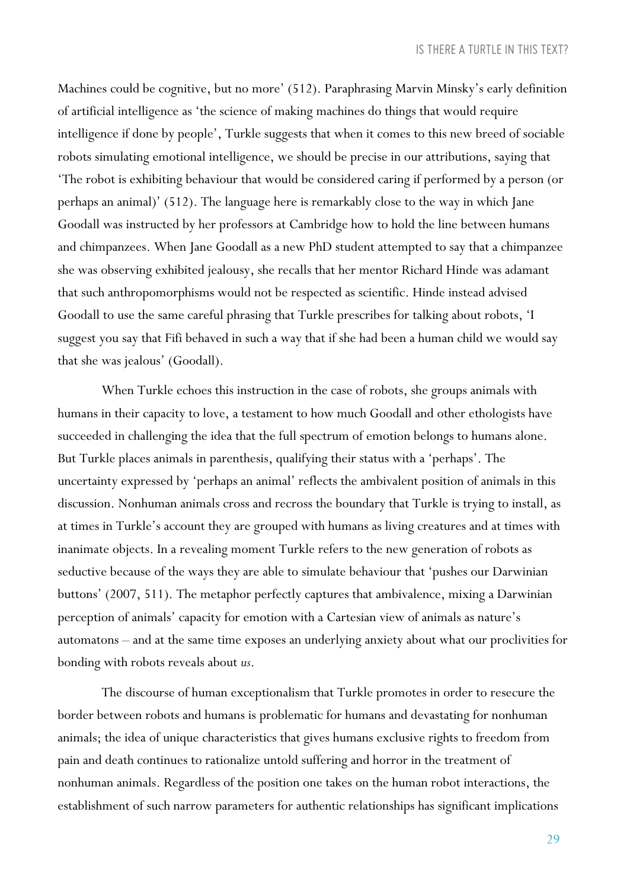Machines could be cognitive, but no more' (512). Paraphrasing Marvin Minsky's early definition of artificial intelligence as 'the science of making machines do things that would require intelligence if done by people', Turkle suggests that when it comes to this new breed of sociable robots simulating emotional intelligence, we should be precise in our attributions, saying that 'The robot is exhibiting behaviour that would be considered caring if performed by a person (or perhaps an animal)' (512). The language here is remarkably close to the way in which Jane Goodall was instructed by her professors at Cambridge how to hold the line between humans and chimpanzees. When Jane Goodall as a new PhD student attempted to say that a chimpanzee she was observing exhibited jealousy, she recalls that her mentor Richard Hinde was adamant that such anthropomorphisms would not be respected as scientific. Hinde instead advised Goodall to use the same careful phrasing that Turkle prescribes for talking about robots, 'I suggest you say that Fifi behaved in such a way that if she had been a human child we would say that she was jealous' (Goodall).

When Turkle echoes this instruction in the case of robots, she groups animals with humans in their capacity to love, a testament to how much Goodall and other ethologists have succeeded in challenging the idea that the full spectrum of emotion belongs to humans alone. But Turkle places animals in parenthesis, qualifying their status with a 'perhaps'. The uncertainty expressed by 'perhaps an animal' reflects the ambivalent position of animals in this discussion. Nonhuman animals cross and recross the boundary that Turkle is trying to install, as at times in Turkle's account they are grouped with humans as living creatures and at times with inanimate objects. In a revealing moment Turkle refers to the new generation of robots as seductive because of the ways they are able to simulate behaviour that 'pushes our Darwinian buttons' (2007, 511). The metaphor perfectly captures that ambivalence, mixing a Darwinian perception of animals' capacity for emotion with a Cartesian view of animals as nature's automatons – and at the same time exposes an underlying anxiety about what our proclivities for bonding with robots reveals about *us*.

The discourse of human exceptionalism that Turkle promotes in order to resecure the border between robots and humans is problematic for humans and devastating for nonhuman animals; the idea of unique characteristics that gives humans exclusive rights to freedom from pain and death continues to rationalize untold suffering and horror in the treatment of nonhuman animals. Regardless of the position one takes on the human robot interactions, the establishment of such narrow parameters for authentic relationships has significant implications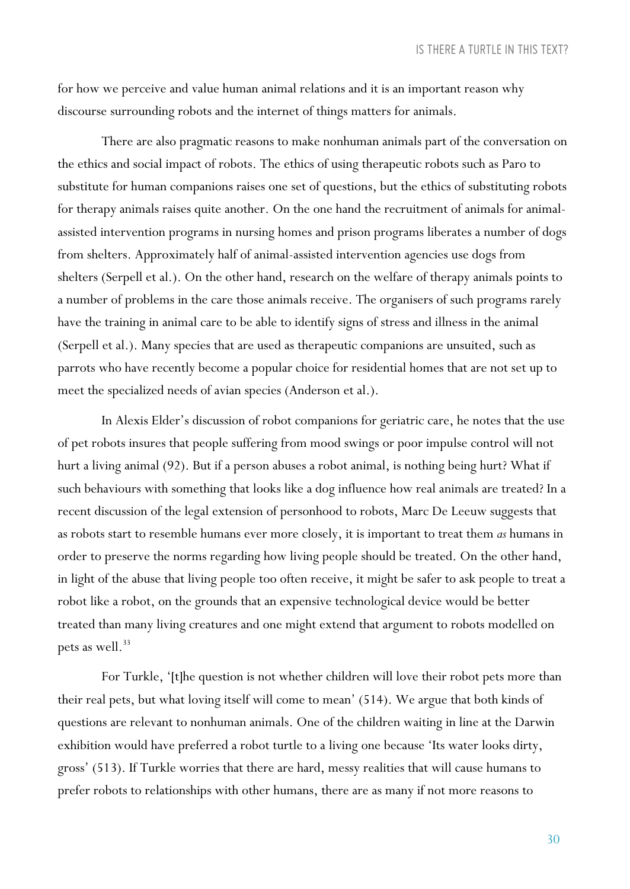for how we perceive and value human animal relations and it is an important reason why discourse surrounding robots and the internet of things matters for animals.

There are also pragmatic reasons to make nonhuman animals part of the conversation on the ethics and social impact of robots. The ethics of using therapeutic robots such as Paro to substitute for human companions raises one set of questions, but the ethics of substituting robots for therapy animals raises quite another. On the one hand the recruitment of animals for animalassisted intervention programs in nursing homes and prison programs liberates a number of dogs from shelters. Approximately half of animal-assisted intervention agencies use dogs from shelters (Serpell et al.). On the other hand, research on the welfare of therapy animals points to a number of problems in the care those animals receive. The organisers of such programs rarely have the training in animal care to be able to identify signs of stress and illness in the animal (Serpell et al.). Many species that are used as therapeutic companions are unsuited, such as parrots who have recently become a popular choice for residential homes that are not set up to meet the specialized needs of avian species (Anderson et al.).

In Alexis Elder's discussion of robot companions for geriatric care, he notes that the use of pet robots insures that people suffering from mood swings or poor impulse control will not hurt a living animal (92). But if a person abuses a robot animal, is nothing being hurt? What if such behaviours with something that looks like a dog influence how real animals are treated? In a recent discussion of the legal extension of personhood to robots, Marc De Leeuw suggests that as robots start to resemble humans ever more closely, it is important to treat them *as* humans in order to preserve the norms regarding how living people should be treated. On the other hand, in light of the abuse that living people too often receive, it might be safer to ask people to treat a robot like a robot, on the grounds that an expensive technological device would be better treated than many living creatures and one might extend that argument to robots modelled on pets as well.<sup>33</sup>

For Turkle, '[t]he question is not whether children will love their robot pets more than their real pets, but what loving itself will come to mean' (514). We argue that both kinds of questions are relevant to nonhuman animals. One of the children waiting in line at the Darwin exhibition would have preferred a robot turtle to a living one because 'Its water looks dirty, gross' (513). If Turkle worries that there are hard, messy realities that will cause humans to prefer robots to relationships with other humans, there are as many if not more reasons to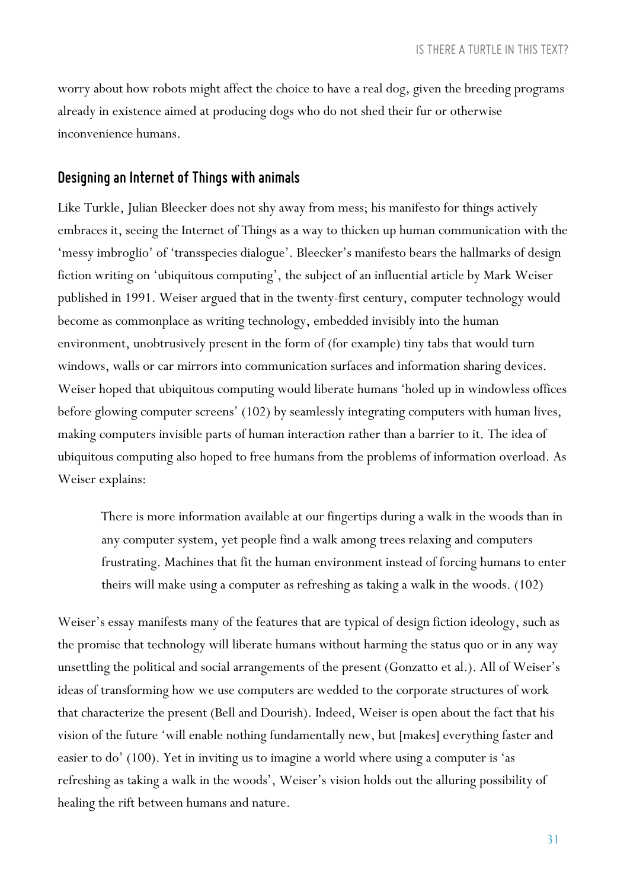worry about how robots might affect the choice to have a real dog, given the breeding programs already in existence aimed at producing dogs who do not shed their fur or otherwise inconvenience humans.

#### *Designing anInternet of Things with animals*

Like Turkle, Julian Bleecker does not shy away from mess; his manifesto for things actively embraces it, seeing the Internet of Things as a way to thicken up human communication with the 'messy imbroglio' of 'transspecies dialogue'. Bleecker's manifesto bears the hallmarks of design fiction writing on 'ubiquitous computing', the subject of an influential article by Mark Weiser published in 1991. Weiser argued that in the twenty-first century, computer technology would become as commonplace as writing technology, embedded invisibly into the human environment, unobtrusively present in the form of (for example) tiny tabs that would turn windows, walls or car mirrors into communication surfaces and information sharing devices. Weiser hoped that ubiquitous computing would liberate humans 'holed up in windowless offices before glowing computer screens' (102) by seamlessly integrating computers with human lives, making computers invisible parts of human interaction rather than a barrier to it. The idea of ubiquitous computing also hoped to free humans from the problems of information overload. As Weiser explains:

There is more information available at our fingertips during a walk in the woods than in any computer system, yet people find a walk among trees relaxing and computers frustrating. Machines that fit the human environment instead of forcing humans to enter theirs will make using a computer as refreshing as taking a walk in the woods. (102)

Weiser's essay manifests many of the features that are typical of design fiction ideology, such as the promise that technology will liberate humans without harming the status quo or in any way unsettling the political and social arrangements of the present (Gonzatto et al.). All of Weiser's ideas of transforming how we use computers are wedded to the corporate structures of work that characterize the present (Bell and Dourish). Indeed, Weiser is open about the fact that his vision of the future 'will enable nothing fundamentally new, but [makes] everything faster and easier to do' (100). Yet in inviting us to imagine a world where using a computer is 'as refreshing as taking a walk in the woods', Weiser's vision holds out the alluring possibility of healing the rift between humans and nature.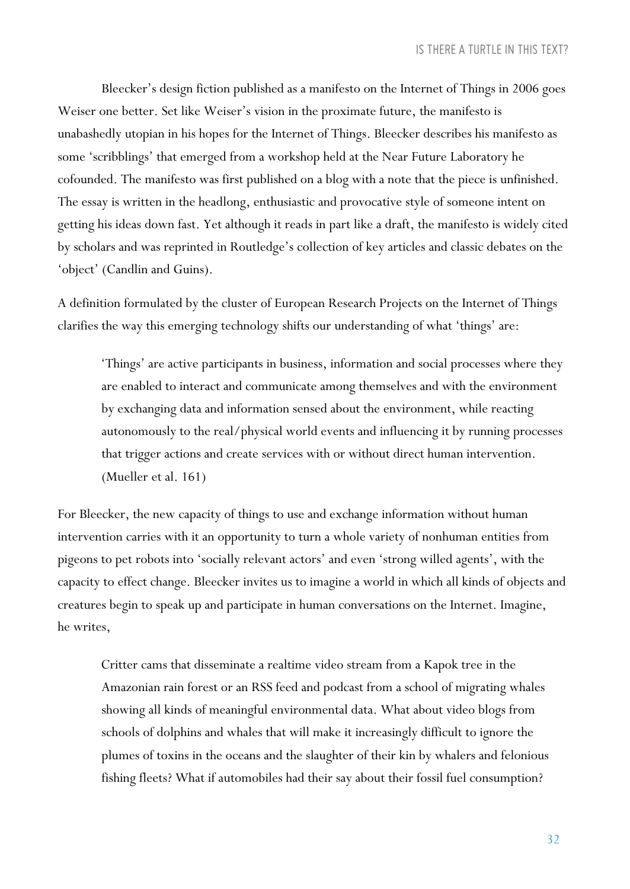Bleecker's design fiction published as a manifesto on the Internet of Things in 2006 goes Weiser one better. Set like Weiser's vision in the proximate future, the manifesto is unabashedly utopian in his hopes for the Internet of Things. Bleecker describes his manifesto as some 'scribblings' that emerged from a workshop held at the Near Future Laboratory he cofounded. The manifesto was first published on a blog with a note that the piece is unfinished. The essay is written in the headlong, enthusiastic and provocative style of someone intent on getting his ideas down fast. Yet although it reads in part like a draft, the manifesto is widely cited by scholars and was reprinted in Routledge's collection of key articles and classic debates on the 'object' (Candlin and Guins).

A definition formulated by the cluster of European Research Projects on the Internet of Things clarifies the way this emerging technology shifts our understanding of what 'things' are:

'Things' are active participants in business, information and social processes where they are enabled to interact and communicate among themselves and with the environment by exchanging data and information sensed about the environment, while reacting autonomously to the real/physical world events and influencing it by running processes that trigger actions and create services with or without direct human intervention. (Mueller et al. 161)

For Bleecker, the new capacity of things to use and exchange information without human intervention carries with it an opportunity to turn a whole variety of nonhuman entities from pigeons to pet robots into 'socially relevant actors' and even 'strong willed agents', with the capacity to effect change. Bleecker invites us to imagine a world in which all kinds of objects and creatures begin to speak up and participate in human conversations on the Internet. Imagine, he writes,

Critter cams that disseminate a realtime video stream from a Kapok tree in the Amazonian rain forest or an RSS feed and podcast from a school of migrating whales showing all kinds of meaningful environmental data. What about video blogs from schools of dolphins and whales that will make it increasingly difficult to ignore the plumes of toxins in the oceans and the slaughter of their kin by whalers and felonious fishing fleets? What if automobiles had their say about their fossil fuel consumption?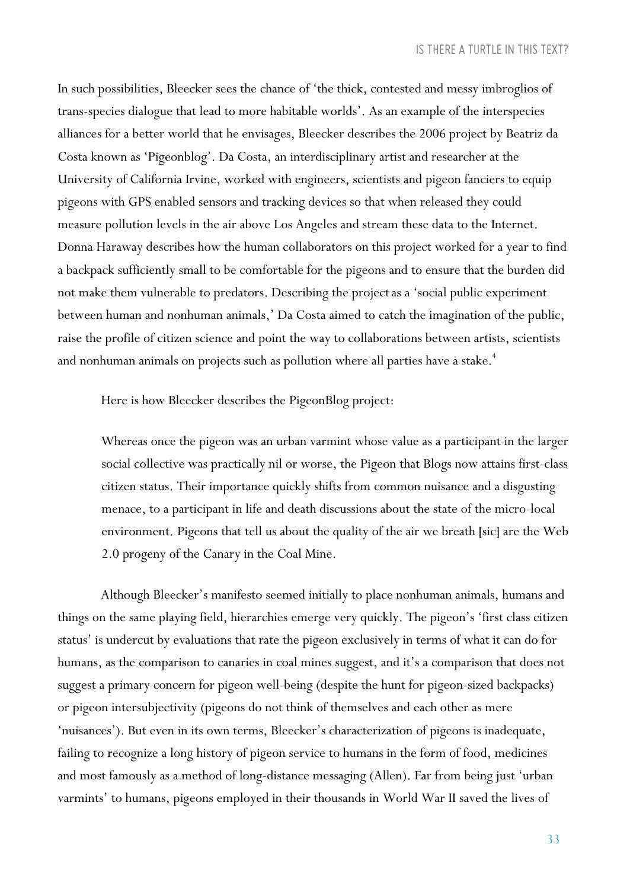In such possibilities, Bleecker sees the chance of 'the thick, contested and messy imbroglios of trans-species dialogue that lead to more habitable worlds'. As an example of the interspecies alliances for a better world that he envisages, Bleecker describes the 2006 project by Beatriz da Costa known as 'Pigeonblog'. Da Costa, an interdisciplinary artist and researcher at the University of California Irvine, worked with engineers, scientists and pigeon fanciers to equip pigeons with GPS enabled sensors and tracking devices so that when released they could measure pollution levels in the air above Los Angeles and stream these data to the Internet. Donna Haraway describes how the human collaborators on this project worked for a year to find a backpack sufficiently small to be comfortable for the pigeons and to ensure that the burden did not make them vulnerable to predators. Describing the projectas a 'social public experiment between human and nonhuman animals,' Da Costa aimed to catch the imagination of the public, raise the profile of citizen science and point the way to collaborations between artists, scientists and nonhuman animals on projects such as pollution where all parties have a stake.<sup>4</sup>

Here is how Bleecker describes the PigeonBlog project:

Whereas once the pigeon was an urban varmint whose value as a participant in the larger social collective was practically nil or worse, the Pigeon that Blogs now attains first-class citizen status. Their importance quickly shifts from common nuisance and a disgusting menace, to a participant in life and death discussions about the state of the micro-local environment. Pigeons that tell us about the quality of the air we breath [sic] are the Web 2.0 progeny of the Canary in the Coal Mine.

Although Bleecker's manifesto seemed initially to place nonhuman animals, humans and things on the same playing field, hierarchies emerge very quickly. The pigeon's 'first class citizen status' is undercut by evaluations that rate the pigeon exclusively in terms of what it can do for humans, as the comparison to canaries in coal mines suggest, and it's a comparison that does not suggest a primary concern for pigeon well-being (despite the hunt for pigeon-sized backpacks) or pigeon intersubjectivity (pigeons do not think of themselves and each other as mere 'nuisances'). But even in its own terms, Bleecker's characterization of pigeons is inadequate, failing to recognize a long history of pigeon service to humans in the form of food, medicines and most famously as a method of long-distance messaging (Allen). Far from being just 'urban varmints' to humans, pigeons employed in their thousands in World War II saved the lives of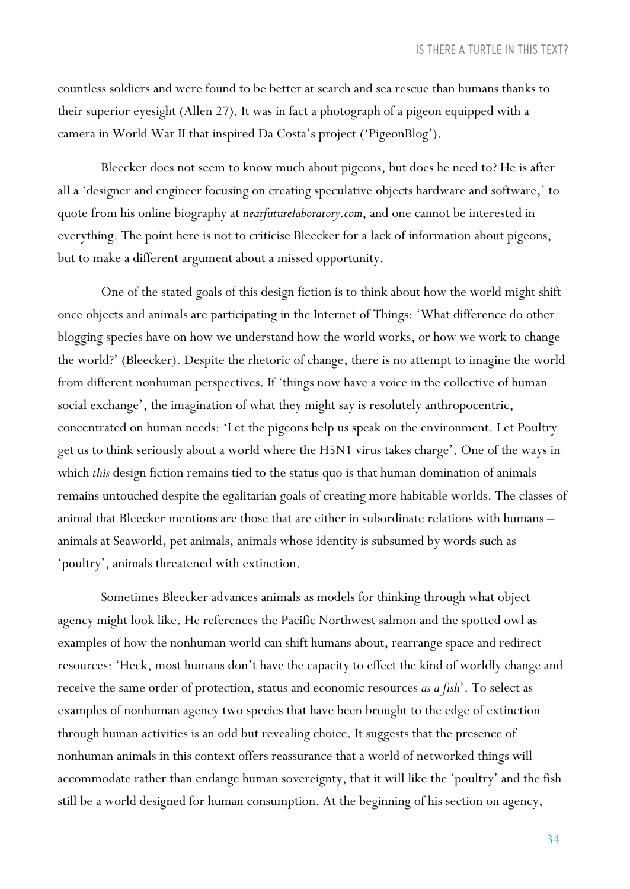countless soldiers and were found to be better at search and sea rescue than humans thanks to their superior eyesight (Allen 27). It was in fact a photograph of a pigeon equipped with a camera in World War II that inspired Da Costa's project ('PigeonBlog').

Bleecker does not seem to know much about pigeons, but does he need to? He is after all a 'designer and engineer focusing on creating speculative objects hardware and software,' to quote from his online biography at *nearfuturelaboratory.com*, and one cannot be interested in everything. The point here is not to criticise Bleecker for a lack of information about pigeons, but to make a different argument about a missed opportunity.

One of the stated goals of this design fiction is to think about how the world might shift once objects and animals are participating in the Internet of Things: 'What difference do other blogging species have on how we understand how the world works, or how we work to change the world?' (Bleecker). Despite the rhetoric of change, there is no attempt to imagine the world from different nonhuman perspectives. If 'things now have a voice in the collective of human social exchange', the imagination of what they might say is resolutely anthropocentric, concentrated on human needs: 'Let the pigeons help us speak on the environment. Let Poultry get us to think seriously about a world where the H5N1 virus takes charge'. One of the ways in which *this* design fiction remains tied to the status quo is that human domination of animals remains untouched despite the egalitarian goals of creating more habitable worlds. The classes of animal that Bleecker mentions are those that are either in subordinate relations with humans – animals at Seaworld, pet animals, animals whose identity is subsumed by words such as 'poultry', animals threatened with extinction.

Sometimes Bleecker advances animals as models for thinking through what object agency might look like. He references the Pacific Northwest salmon and the spotted owl as examples of how the nonhuman world can shift humans about, rearrange space and redirect resources: 'Heck, most humans don't have the capacity to effect the kind of worldly change and receive the same order of protection, status and economic resources *as a fish*'. To select as examples of nonhuman agency two species that have been brought to the edge of extinction through human activities is an odd but revealing choice. It suggests that the presence of nonhuman animals in this context offers reassurance that a world of networked things will accommodate rather than endange human sovereignty, that it will like the 'poultry' and the fish still be a world designed for human consumption. At the beginning of his section on agency,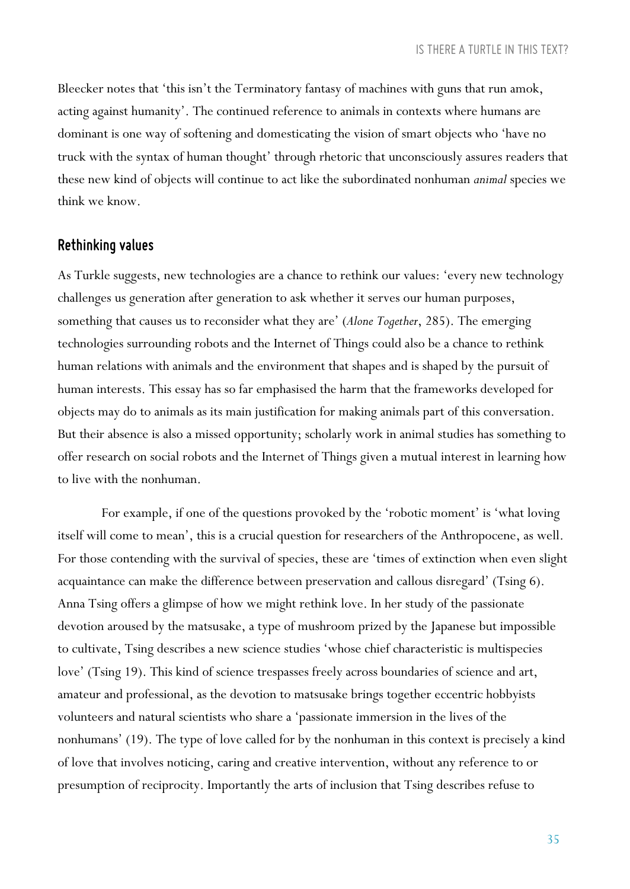Bleecker notes that 'this isn't the Terminatory fantasy of machines with guns that run amok, acting against humanity'. The continued reference to animals in contexts where humans are dominant is one way of softening and domesticating the vision of smart objects who 'have no truck with the syntax of human thought' through rhetoric that unconsciously assures readers that these new kind of objects will continue to act like the subordinated nonhuman *animal* species we think we know.

### *Rethinking values*

As Turkle suggests, new technologies are a chance to rethink our values: 'every new technology challenges us generation after generation to ask whether it serves our human purposes, something that causes us to reconsider what they are' (*Alone Together*, 285). The emerging technologies surrounding robots and the Internet of Things could also be a chance to rethink human relations with animals and the environment that shapes and is shaped by the pursuit of human interests. This essay has so far emphasised the harm that the frameworks developed for objects may do to animals as its main justification for making animals part of this conversation. But their absence is also a missed opportunity; scholarly work in animal studies has something to offer research on social robots and the Internet of Things given a mutual interest in learning how to live with the nonhuman.

For example, if one of the questions provoked by the 'robotic moment' is 'what loving itself will come to mean', this is a crucial question for researchers of the Anthropocene, as well. For those contending with the survival of species, these are 'times of extinction when even slight acquaintance can make the difference between preservation and callous disregard' (Tsing 6). Anna Tsing offers a glimpse of how we might rethink love. In her study of the passionate devotion aroused by the matsusake, a type of mushroom prized by the Japanese but impossible to cultivate, Tsing describes a new science studies 'whose chief characteristic is multispecies love' (Tsing 19). This kind of science trespasses freely across boundaries of science and art, amateur and professional, as the devotion to matsusake brings together eccentric hobbyists volunteers and natural scientists who share a 'passionate immersion in the lives of the nonhumans' (19). The type of love called for by the nonhuman in this context is precisely a kind of love that involves noticing, caring and creative intervention, without any reference to or presumption of reciprocity. Importantly the arts of inclusion that Tsing describes refuse to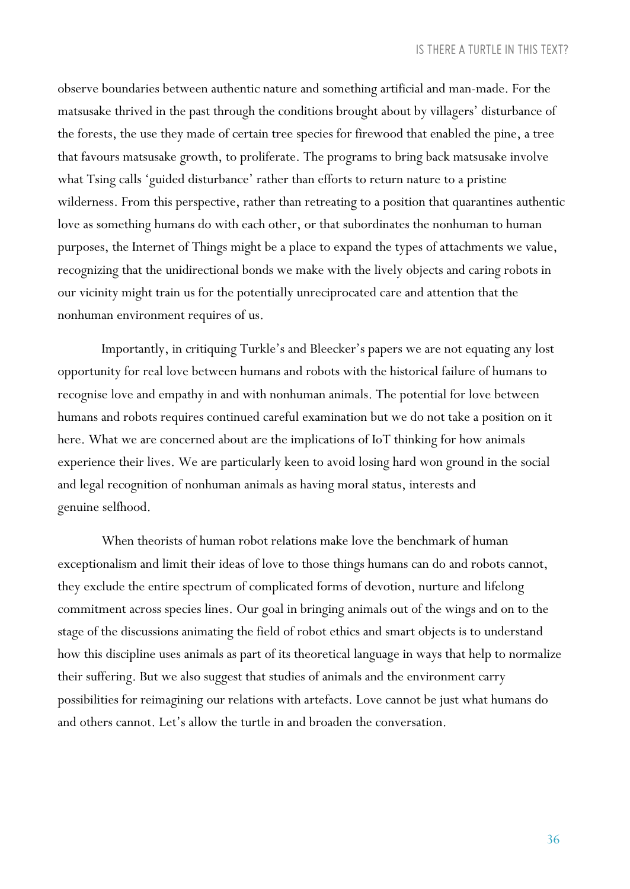observe boundaries between authentic nature and something artificial and man-made. For the matsusake thrived in the past through the conditions brought about by villagers' disturbance of the forests, the use they made of certain tree species for firewood that enabled the pine, a tree that favours matsusake growth, to proliferate. The programs to bring back matsusake involve what Tsing calls 'guided disturbance' rather than efforts to return nature to a pristine wilderness. From this perspective, rather than retreating to a position that quarantines authentic love as something humans do with each other, or that subordinates the nonhuman to human purposes, the Internet of Things might be a place to expand the types of attachments we value, recognizing that the unidirectional bonds we make with the lively objects and caring robots in our vicinity might train us for the potentially unreciprocated care and attention that the nonhuman environment requires of us.

Importantly, in critiquing Turkle's and Bleecker's papers we are not equating any lost opportunity for real love between humans and robots with the historical failure of humans to recognise love and empathy in and with nonhuman animals. The potential for love between humans and robots requires continued careful examination but we do not take a position on it here. What we are concerned about are the implications of IoT thinking for how animals experience their lives. We are particularly keen to avoid losing hard won ground in the social and legal recognition of nonhuman animals as having moral status, interests and genuine selfhood.

When theorists of human robot relations make love the benchmark of human exceptionalism and limit their ideas of love to those things humans can do and robots cannot, they exclude the entire spectrum of complicated forms of devotion, nurture and lifelong commitment across species lines. Our goal in bringing animals out of the wings and on to the stage of the discussions animating the field of robot ethics and smart objects is to understand how this discipline uses animals as part of its theoretical language in ways that help to normalize their suffering. But we also suggest that studies of animals and the environment carry possibilities for reimagining our relations with artefacts. Love cannot be just what humans do and others cannot. Let's allow the turtle in and broaden the conversation.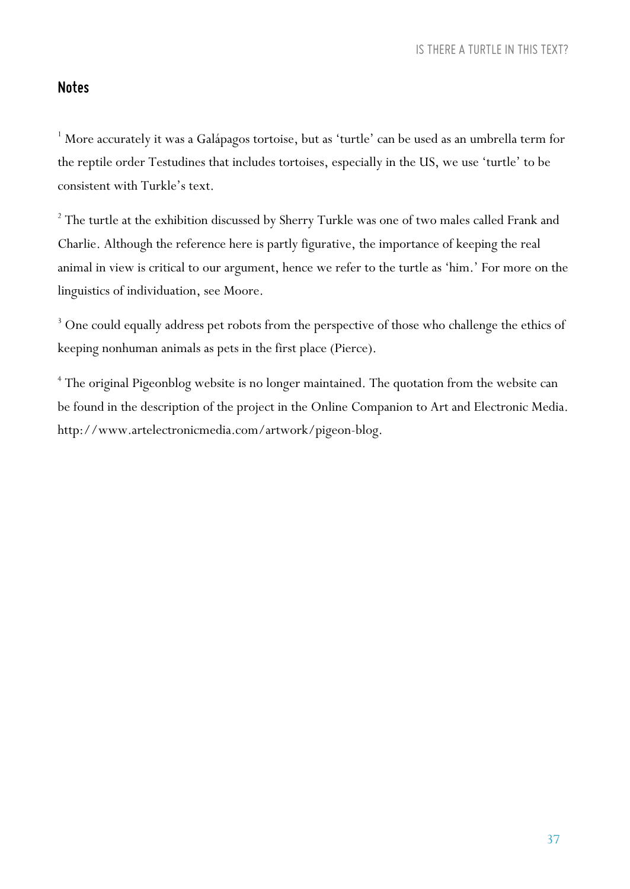#### *Notes*

 $1$  More accurately it was a Galápagos tortoise, but as 'turtle' can be used as an umbrella term for the reptile order Testudines that includes tortoises, especially in the US, we use 'turtle' to be consistent with Turkle's text.

<sup>2</sup> The turtle at the exhibition discussed by Sherry Turkle was one of two males called Frank and Charlie. Although the reference here is partly figurative, the importance of keeping the real animal in view is critical to our argument, hence we refer to the turtle as 'him.' For more on the linguistics of individuation, see Moore.

<sup>3</sup> One could equally address pet robots from the perspective of those who challenge the ethics of keeping nonhuman animals as pets in the first place (Pierce).

<sup>4</sup> The original Pigeonblog website is no longer maintained. The quotation from the website can be found in the description of the project in the Online Companion to Art and Electronic Media. http://www.artelectronicmedia.com/artwork/pigeon-blog.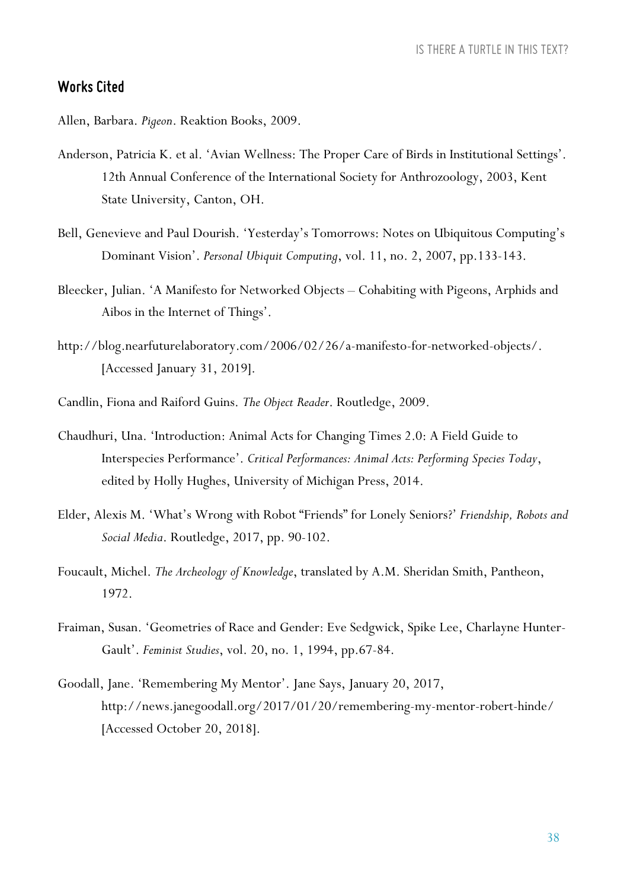#### *Works Cited*

Allen, Barbara. *Pigeon*. Reaktion Books, 2009.

- Anderson, Patricia K. et al. 'Avian Wellness: The Proper Care of Birds in Institutional Settings'. 12th Annual Conference of the International Society for Anthrozoology, 2003, Kent State University, Canton, OH.
- Bell, Genevieve and Paul Dourish. 'Yesterday's Tomorrows: Notes on Ubiquitous Computing's Dominant Vision'. *Personal Ubiquit Computing*, vol. 11, no. 2, 2007, pp.133-143.
- Bleecker, Julian. 'A Manifesto for Networked Objects Cohabiting with Pigeons, Arphids and Aibos in the Internet of Things'.
- http://blog.nearfuturelaboratory.com/2006/02/26/a-manifesto-for-networked-objects/. [Accessed January 31, 2019].
- Candlin, Fiona and Raiford Guins. *The Object Reader*. Routledge, 2009.
- Chaudhuri, Una. 'Introduction: Animal Acts for Changing Times 2.0: A Field Guide to Interspecies Performance'. *Critical Performances: Animal Acts: Performing Species Today*, edited by Holly Hughes, University of Michigan Press, 2014.
- Elder, Alexis M. 'What's Wrong with Robot "Friends" for Lonely Seniors?' *Friendship, Robots and Social Media*. Routledge, 2017, pp. 90-102.
- Foucault, Michel. *The Archeology of Knowledge*, translated by A.M. Sheridan Smith, Pantheon, 1972.
- Fraiman, Susan. 'Geometries of Race and Gender: Eve Sedgwick, Spike Lee, Charlayne Hunter-Gault'. *Feminist Studies*, vol. 20, no. 1, 1994, pp.67-84.
- Goodall, Jane. 'Remembering My Mentor'. Jane Says, January 20, 2017, http://news.janegoodall.org/2017/01/20/remembering-my-mentor-robert-hinde/ [Accessed October 20, 2018].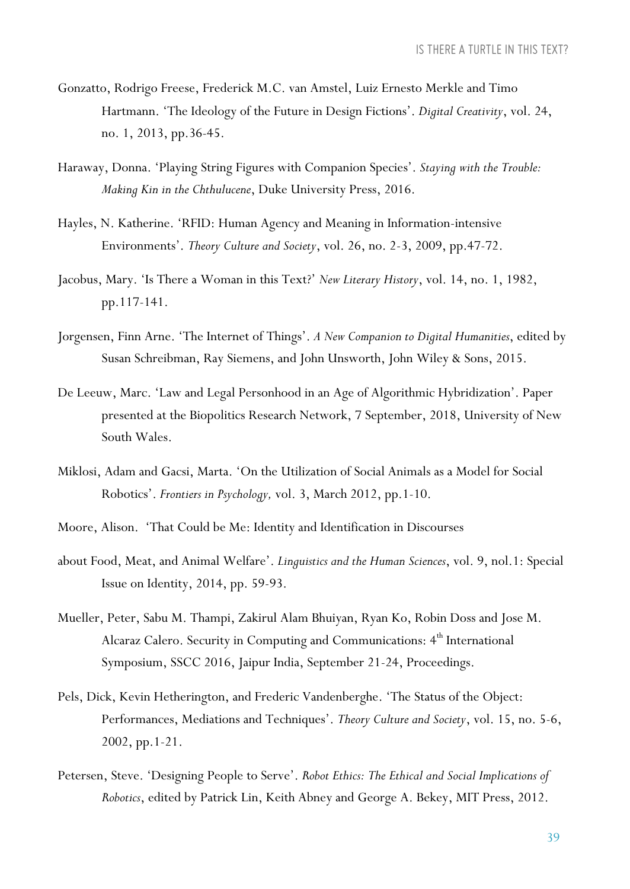- Gonzatto, Rodrigo Freese, Frederick M.C. van Amstel, Luiz Ernesto Merkle and Timo Hartmann. 'The Ideology of the Future in Design Fictions'. *Digital Creativity*, vol. 24, no. 1, 2013, pp.36-45.
- Haraway, Donna. 'Playing String Figures with Companion Species'. *Staying with the Trouble: Making Kin in the Chthulucene*, Duke University Press, 2016.
- Hayles, N. Katherine. 'RFID: Human Agency and Meaning in Information-intensive Environments'. *Theory Culture and Society*, vol. 26, no. 2-3, 2009, pp.47-72.
- Jacobus, Mary. 'Is There a Woman in this Text?' *New Literary History*, vol. 14, no. 1, 1982, pp.117-141.
- Jorgensen, Finn Arne. 'The Internet of Things'. *A New Companion to Digital Humanities*, edited by Susan Schreibman, Ray Siemens, and John Unsworth, John Wiley & Sons, 2015.
- De Leeuw, Marc. 'Law and Legal Personhood in an Age of Algorithmic Hybridization'. Paper presented at the Biopolitics Research Network, 7 September, 2018, University of New South Wales.
- Miklosi, Adam and Gacsi, Marta. 'On the Utilization of Social Animals as a Model for Social Robotics'. *Frontiers in Psychology,* vol. 3, March 2012, pp.1-10.
- Moore, Alison. 'That Could be Me: Identity and Identification in Discourses
- about Food, Meat, and Animal Welfare'. *Linguistics and the Human Sciences*, vol. 9, nol.1: Special Issue on Identity, 2014, pp. 59-93.
- Mueller, Peter, Sabu M. Thampi, Zakirul Alam Bhuiyan, Ryan Ko, Robin Doss and Jose M. Alcaraz Calero. Security in Computing and Communications:  $4^{\text{th}}$  International Symposium, SSCC 2016, Jaipur India, September 21-24, Proceedings.
- Pels, Dick, Kevin Hetherington, and Frederic Vandenberghe. 'The Status of the Object: Performances, Mediations and Techniques'. *Theory Culture and Society*, vol. 15, no. 5-6, 2002, pp.1-21.
- Petersen, Steve. 'Designing People to Serve'. *Robot Ethics: The Ethical and Social Implications of Robotics*, edited by Patrick Lin, Keith Abney and George A. Bekey, MIT Press, 2012.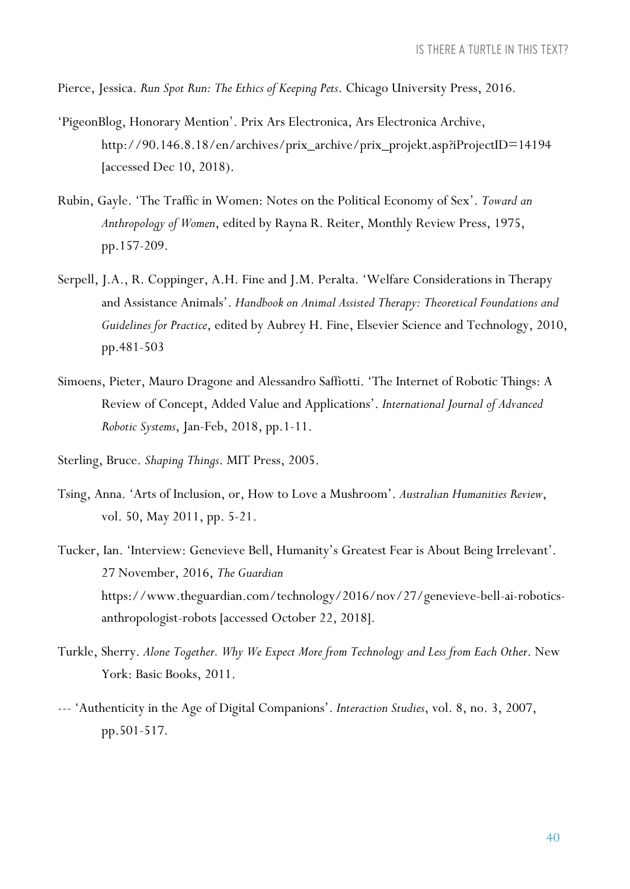Pierce, Jessica. *Run Spot Run: The Ethics of Keeping Pets*. Chicago University Press, 2016.

- 'PigeonBlog, Honorary Mention'. Prix Ars Electronica, Ars Electronica Archive, http://90.146.8.18/en/archives/prix\_archive/prix\_projekt.asp?iProjectID=14194 [accessed Dec 10, 2018).
- Rubin, Gayle. 'The Traffic in Women: Notes on the Political Economy of Sex'. *Toward an Anthropology of Women*, edited by Rayna R. Reiter, Monthly Review Press, 1975, pp.157-209.
- Serpell, J.A., R. Coppinger, A.H. Fine and J.M. Peralta. 'Welfare Considerations in Therapy and Assistance Animals'. *Handbook on Animal Assisted Therapy: Theoretical Foundations and Guidelines for Practice*, edited by Aubrey H. Fine, Elsevier Science and Technology, 2010, pp.481-503
- Simoens, Pieter, Mauro Dragone and Alessandro Saffiotti. 'The Internet of Robotic Things: A Review of Concept, Added Value and Applications'. *International Journal of Advanced Robotic Systems*, Jan-Feb, 2018, pp.1-11.
- Sterling, Bruce. *Shaping Things*. MIT Press, 2005.
- Tsing, Anna. 'Arts of Inclusion, or, How to Love a Mushroom'. *Australian Humanities Review*, vol. 50, May 2011, pp. 5-21.
- Tucker, Ian. 'Interview: Genevieve Bell, Humanity's Greatest Fear is About Being Irrelevant'. 27 November, 2016, *The Guardian* https://www.theguardian.com/technology/2016/nov/27/genevieve-bell-ai-roboticsanthropologist-robots [accessed October 22, 2018].
- Turkle, Sherry. *Alone Together. Why We Expect More from Technology and Less from Each Other*. New York: Basic Books, 2011.
- --- 'Authenticity in the Age of Digital Companions'. *Interaction Studies*, vol. 8, no. 3, 2007, pp.501-517.